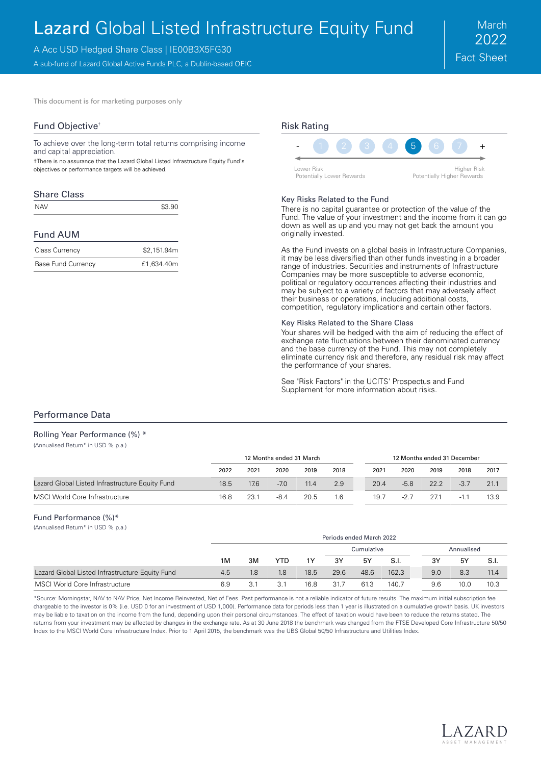# Lazard Global Listed Infrastructure Equity Fund

A Acc USD Hedged Share Class | IE00B3X5FG30

A sub-fund of Lazard Global Active Funds PLC, a Dublin-based OEIC

This document is for marketing purposes only

### Fund Objective†

To achieve over the long-term total returns comprising income and capital appreciation.

†There is no assurance that the Lazard Global Listed Infrastructure Equity Fund's objectives or performance targets will be achieved.

### Share Class

 $NAV$   $$3.90$ 

### Fund AUM

| <b>Class Currency</b> | \$2,151.94m |
|-----------------------|-------------|
| Base Fund Currency    | £1,634.40m  |

## Risk Rating



#### Key Risks Related to the Fund

There is no capital guarantee or protection of the value of the Fund. The value of your investment and the income from it can go down as well as up and you may not get back the amount you originally invested.

As the Fund invests on a global basis in Infrastructure Companies, it may be less diversified than other funds investing in a broader range of industries. Securities and instruments of Infrastructure Companies may be more susceptible to adverse economic, political or regulatory occurrences affecting their industries and may be subject to a variety of factors that may adversely affect their business or operations, including additional costs, competition, regulatory implications and certain other factors.

#### Key Risks Related to the Share Class

Your shares will be hedged with the aim of reducing the effect of exchange rate fluctuations between their denominated currency and the base currency of the Fund. This may not completely eliminate currency risk and therefore, any residual risk may affect the performance of your shares.

See "Risk Factors" in the UCITS' Prospectus and Fund Supplement for more information about risks.

### Performance Data

### Rolling Year Performance (%) \*

(Annualised Return\* in USD % p.a.)

|                                                 | 12 Months ended 31 March |      |        |      | 12 Months ended 31 December |      |        |      |        |      |
|-------------------------------------------------|--------------------------|------|--------|------|-----------------------------|------|--------|------|--------|------|
|                                                 | 2022                     | 2021 | 2020   | 2019 | 2018                        | 2021 | 2020   | 2019 | 2018   | 2017 |
| Lazard Global Listed Infrastructure Equity Fund | 18.5                     | 17.6 | $-7.0$ | 11.4 | 2.9                         | 20.4 | $-5.8$ | 22.2 | $-3.7$ | 21.1 |
| MSCI World Core Infrastructure                  | 16.8                     | 23.1 | $-8.4$ | 20.5 | 1.6                         | 19.7 | $-2.7$ | 27.1 | $-1.1$ | 13.9 |

### Fund Performance (%)\*

(Annualised Return\* in USD % p.a.)

|                                                 |     | Periods ended March 2022 |      |      |      |            |       |     |            |      |
|-------------------------------------------------|-----|--------------------------|------|------|------|------------|-------|-----|------------|------|
|                                                 |     |                          |      |      |      | Cumulative |       |     | Annualised |      |
|                                                 | 1M  | 3M                       | YTD. | 1Y   | 3Y   | 5Y         | S.I.  | 3Y  | 5Y         | S.I. |
| Lazard Global Listed Infrastructure Equity Fund | 4.5 | 1.8                      | 1.8  | 18.5 | 29.6 | 48.6       | 162.3 | 9.0 | 8.3        | 11.4 |
| MSCI World Core Infrastructure                  | 6.9 | 3.1                      | 3.1  | 16.8 | 31.7 | 61.3       | 140.7 | 9.6 | 10.0       | 10.3 |

\*Source: Morningstar, NAV to NAV Price, Net Income Reinvested, Net of Fees. Past performance is not a reliable indicator of future results. The maximum initial subscription fee chargeable to the investor is 0% (i.e. USD 0 for an investment of USD 1,000). Performance data for periods less than 1 year is illustrated on a cumulative growth basis. UK investors may be liable to taxation on the income from the fund, depending upon their personal circumstances. The effect of taxation would have been to reduce the returns stated. The returns from your investment may be affected by changes in the exchange rate. As at 30 June 2018 the benchmark was changed from the FTSE Developed Core Infrastructure 50/50 Index to the MSCI World Core Infrastructure Index. Prior to 1 April 2015, the benchmark was the UBS Global 50/50 Infrastructure and Utilities Index.

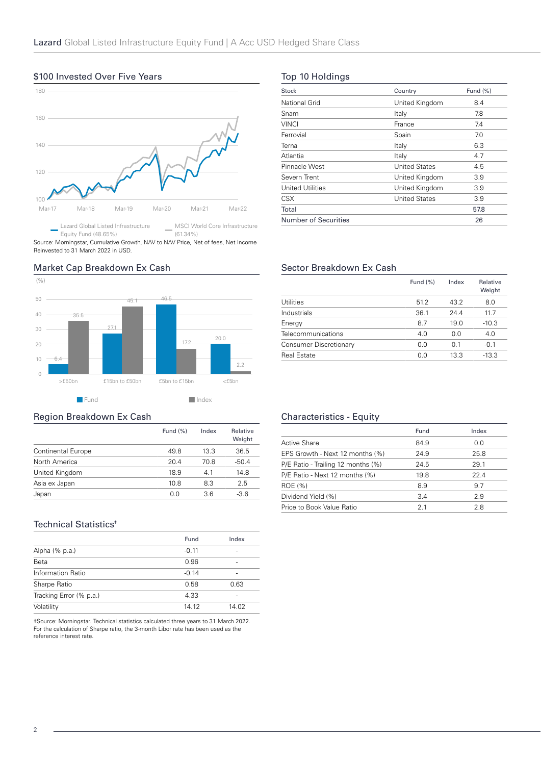## 100 120 140 160 180 Mar-17 Mar-18 Mar-19 Mar-20 Mar-21 Mar-22 Lazard Global Listed Infrastructure MSCI World Core Infrastructure

### \$100 Invested Over Five Years

Equity Fund (48.65%) (61.34%) Source: Morningstar, Cumulative Growth, NAV to NAV Price, Net of fees, Net Income Reinvested to 31 March 2022 in USD.

#### (%) 27.1 46.5 20.0 35.5 45.1 17.2 20 30 40 50

>£50bn £15bn to £50bn £5bn to £15bn <£5bn

2.2

6.4

 $\sim$ 

 $\bigcap$ 10

Market Cap Breakdown Ex Cash

**Fund Index** 

### Region Breakdown Ex Cash

|                           | Fund $(\%)$ | Index | Relative<br>Weight |
|---------------------------|-------------|-------|--------------------|
| <b>Continental Europe</b> | 49.8        | 13.3  | 36.5               |
| North America             | 20.4        | 70.8  | $-50.4$            |
| United Kingdom            | 18.9        | 41    | 14.8               |
| Asia ex Japan             | 10.8        | 8.3   | 2.5                |
| Japan                     | 0.0         | 3.6   | $-3.6$             |

### Technical Statistics<sup>#</sup>

|                         | Fund    | Index |
|-------------------------|---------|-------|
| Alpha (% p.a.)          | $-0.11$ |       |
| Beta                    | 0.96    |       |
| Information Ratio       | $-0.14$ |       |
| Sharpe Ratio            | 0.58    | 0.63  |
| Tracking Error (% p.a.) | 4.33    |       |
| Volatility              | 14.12   | 14.02 |

‡Source: Morningstar. Technical statistics calculated three years to 31 March 2022. For the calculation of Sharpe ratio, the 3-month Libor rate has been used as the reference interest rate.

## Top 10 Holdings

| <b>Stock</b>                | Country              | Fund (%) |
|-----------------------------|----------------------|----------|
| National Grid               | United Kingdom       | 8.4      |
| Snam                        | Italy                | 7.8      |
| <b>VINCI</b>                | France               | 7.4      |
| Ferrovial                   | Spain                | 7.0      |
| Terna                       | Italy                | 6.3      |
| Atlantia                    | Italy                | 4.7      |
| Pinnacle West               | <b>United States</b> | 4.5      |
| Severn Trent                | United Kingdom       | 3.9      |
| United Utilities            | United Kingdom       | 3.9      |
| <b>CSX</b>                  | <b>United States</b> | 3.9      |
| Total                       |                      | 57.8     |
| <b>Number of Securities</b> |                      | 26       |

### Sector Breakdown Ex Cash

|                        | Fund $(\%)$ | Index | Relative<br>Weight |
|------------------------|-------------|-------|--------------------|
| Utilities              | 51.2        | 43.2  | 8.0                |
| Industrials            | 36.1        | 24.4  | 11.7               |
| Energy                 | 8.7         | 19.0  | $-10.3$            |
| Telecommunications     | 4.0         | 0.0   | 4.0                |
| Consumer Discretionary | 0.0         | 0.1   | $-0.1$             |
| <b>Real Estate</b>     | 0.0         | 13.3  | $-13.3$            |

## Characteristics - Equity

|                                    | Fund | Index |
|------------------------------------|------|-------|
| Active Share                       | 84.9 | 0.0   |
| EPS Growth - Next 12 months (%)    | 24.9 | 25.8  |
| P/E Ratio - Trailing 12 months (%) | 24.5 | 29.1  |
| P/E Ratio - Next 12 months (%)     | 19.8 | 22.4  |
| ROE (%)                            | 8.9  | 9.7   |
| Dividend Yield (%)                 | 3.4  | 2.9   |
| Price to Book Value Ratio          | 21   | 2.8   |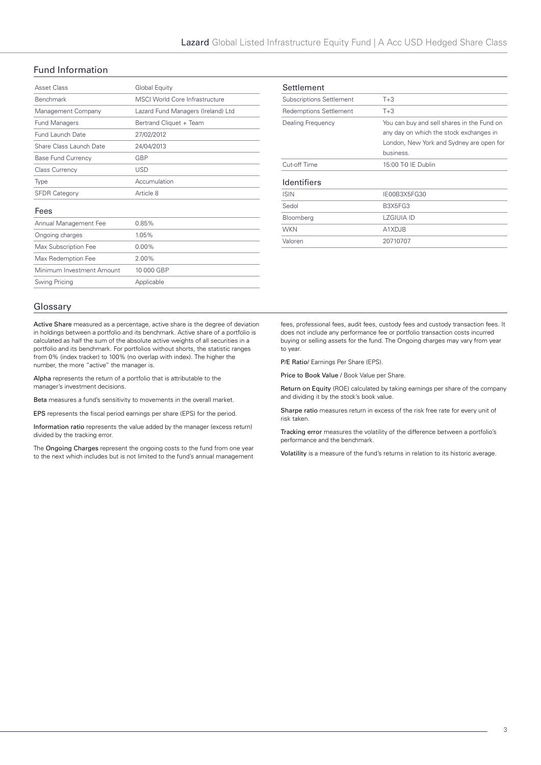### Fund Information

| Asset Class               | Global Equity                         |
|---------------------------|---------------------------------------|
| Benchmark                 | <b>MSCI World Core Infrastructure</b> |
| Management Company        | Lazard Fund Managers (Ireland) Ltd    |
| Fund Managers             | Bertrand Cliquet + Team               |
| Fund Launch Date          | 27/02/2012                            |
| Share Class Launch Date   | 24/04/2013                            |
| <b>Base Fund Currency</b> | GBP                                   |
| <b>Class Currency</b>     | <b>USD</b>                            |
| Type                      | Accumulation                          |
| <b>SFDR Category</b>      | Article 8                             |
| Fees                      |                                       |
| Annual Management Fee     | 0.85%                                 |
| Ongoing charges           | 1.05%                                 |
| Max Subscription Fee      | $0.00\%$                              |
| Max Redemption Fee        | 2.00%                                 |
| Minimum Investment Amount | 10 000 GBP                            |
| Swing Pricing             | Applicable                            |
|                           |                                       |

| Settlement                      |                                                                                                                                                |
|---------------------------------|------------------------------------------------------------------------------------------------------------------------------------------------|
| <b>Subscriptions Settlement</b> | $T + 3$                                                                                                                                        |
| <b>Redemptions Settlement</b>   | $T + 3$                                                                                                                                        |
| Dealing Frequency               | You can buy and sell shares in the Fund on<br>any day on which the stock exchanges in<br>London, New York and Sydney are open for<br>business. |
| Cut-off Time                    | 15:00 T-0 IE Dublin                                                                                                                            |
| <b>Identifiers</b>              |                                                                                                                                                |
| <b>ISIN</b>                     | IE00B3X5FG30                                                                                                                                   |
| Sedol                           | B3X5FG3                                                                                                                                        |
| Bloomberg                       | LZGIUJA ID                                                                                                                                     |
| <b>WKN</b>                      | A1XDJB                                                                                                                                         |
| Valoren                         | 20710707                                                                                                                                       |

### Glossary

Active Share measured as a percentage, active share is the degree of deviation in holdings between a portfolio and its benchmark. Active share of a portfolio is calculated as half the sum of the absolute active weights of all securities in a portfolio and its benchmark. For portfolios without shorts, the statistic ranges from 0% (index tracker) to 100% (no overlap with index). The higher the number, the more "active" the manager is.

Alpha represents the return of a portfolio that is attributable to the manager's investment decisions.

Beta measures a fund's sensitivity to movements in the overall market.

EPS represents the fiscal period earnings per share (EPS) for the period.

Information ratio represents the value added by the manager (excess return) divided by the tracking error.

The Ongoing Charges represent the ongoing costs to the fund from one year to the next which includes but is not limited to the fund's annual management

fees, professional fees, audit fees, custody fees and custody transaction fees. It does not include any performance fee or portfolio transaction costs incurred buying or selling assets for the fund. The Ongoing charges may vary from year to year.

P/E Ratio/ Earnings Per Share (EPS).

Price to Book Value / Book Value per Share.

Return on Equity (ROE) calculated by taking earnings per share of the company and dividing it by the stock's book value.

Sharpe ratio measures return in excess of the risk free rate for every unit of risk taken.

Tracking error measures the volatility of the difference between a portfolio's performance and the benchmark.

Volatility is a measure of the fund's returns in relation to its historic average.